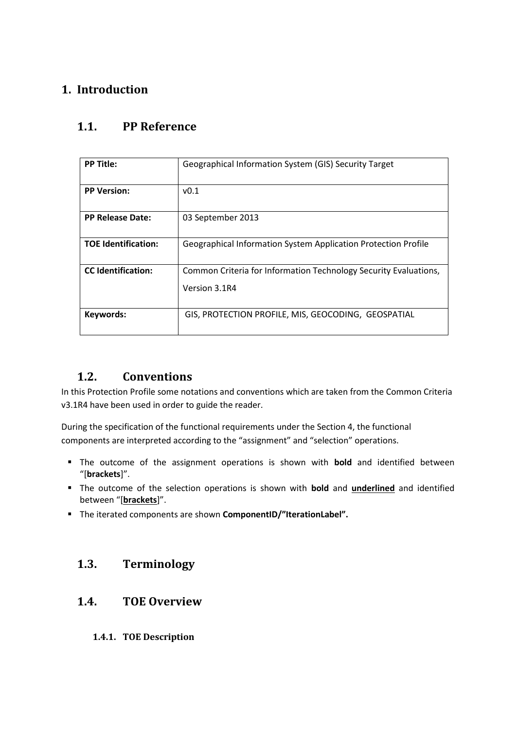# **1. Introduction**

# **1.1. PP Reference**

| <b>PP Title:</b>           | Geographical Information System (GIS) Security Target                             |
|----------------------------|-----------------------------------------------------------------------------------|
| <b>PP Version:</b>         | v <sub>0.1</sub>                                                                  |
| <b>PP Release Date:</b>    | 03 September 2013                                                                 |
| <b>TOE Identification:</b> | Geographical Information System Application Protection Profile                    |
| <b>CC</b> Identification:  | Common Criteria for Information Technology Security Evaluations,<br>Version 3.1R4 |
| Keywords:                  | GIS, PROTECTION PROFILE, MIS, GEOCODING, GEOSPATIAL                               |

# **1.2. Conventions**

In this Protection Profile some notations and conventions which are taken from the Common Criteria v3.1R4 have been used in order to guide the reader.

During the specification of the functional requirements under the Section 4, the functional components are interpreted according to the "assignment" and "selection" operations.

- The outcome of the assignment operations is shown with **bold** and identified between "[**brackets**]".
- The outcome of the selection operations is shown with **bold** and **underlined** and identified between "[**brackets**]".
- The iterated components are shown **ComponentID/"IterationLabel".**

# **1.3. Terminology**

### **1.4. TOE Overview**

**1.4.1. TOE Description**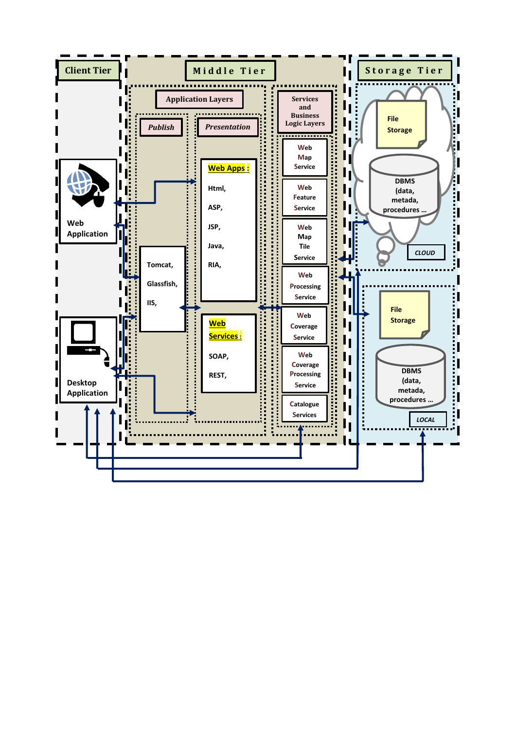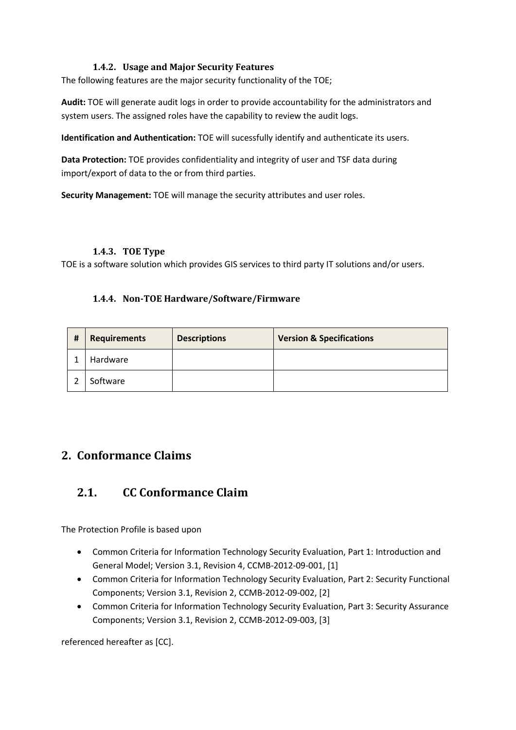### **1.4.2. Usage and Major Security Features**

The following features are the major security functionality of the TOE;

**Audit:** TOE will generate audit logs in order to provide accountability for the administrators and system users. The assigned roles have the capability to review the audit logs.

**Identification and Authentication:** TOE will sucessfully identify and authenticate its users.

**Data Protection:** TOE provides confidentiality and integrity of user and TSF data during import/export of data to the or from third parties.

**Security Management:** TOE will manage the security attributes and user roles.

### **1.4.3. TOE Type**

TOE is a software solution which provides GIS services to third party IT solutions and/or users.

### **1.4.4. Non-TOE Hardware/Software/Firmware**

| # | <b>Requirements</b> | <b>Descriptions</b> | <b>Version &amp; Specifications</b> |
|---|---------------------|---------------------|-------------------------------------|
|   | Hardware            |                     |                                     |
| ำ | Software            |                     |                                     |

# **2. Conformance Claims**

# **2.1. CC Conformance Claim**

The Protection Profile is based upon

- Common Criteria for Information Technology Security Evaluation, Part 1: Introduction and General Model; Version 3.1, Revision 4, CCMB-2012-09-001, [1]
- Common Criteria for Information Technology Security Evaluation, Part 2: Security Functional Components; Version 3.1, Revision 2, CCMB-2012-09-002, [2]
- Common Criteria for Information Technology Security Evaluation, Part 3: Security Assurance Components; Version 3.1, Revision 2, CCMB-2012-09-003, [3]

referenced hereafter as [CC].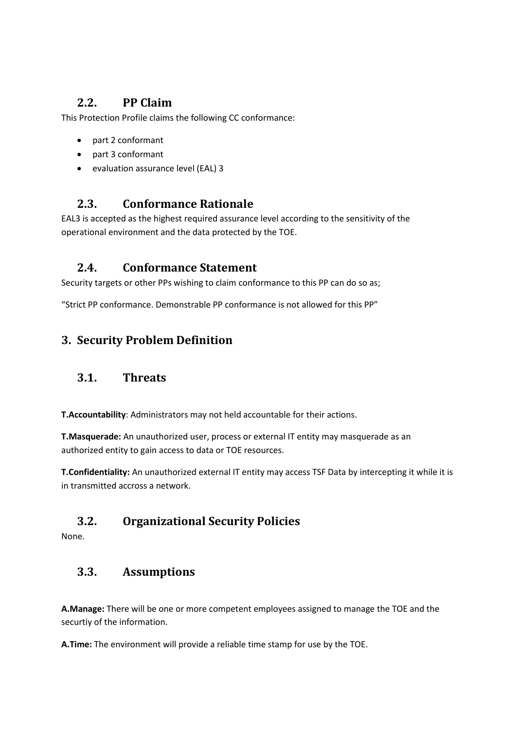### **2.2. PP Claim**

This Protection Profile claims the following CC conformance:

- part 2 conformant
- part 3 conformant
- evaluation assurance level (EAL) 3

# **2.3. Conformance Rationale**

EAL3 is accepted as the highest required assurance level according to the sensitivity of the operational environment and the data protected by the TOE.

# **2.4. Conformance Statement**

Security targets or other PPs wishing to claim conformance to this PP can do so as;

"Strict PP conformance. Demonstrable PP conformance is not allowed for this PP"

# **3. Security Problem Definition**

# **3.1. Threats**

**T.Accountability**: Administrators may not held accountable for their actions.

**T.Masquerade:** An unauthorized user, process or external IT entity may masquerade as an authorized entity to gain access to data or TOE resources.

**T.Confidentiality:** An unauthorized external IT entity may access TSF Data by intercepting it while it is in transmitted accross a network.

# **3.2. Organizational Security Policies**

None.

# **3.3. Assumptions**

**A.Manage:** There will be one or more competent employees assigned to manage the TOE and the securtiy of the information.

**A.Time:** The environment will provide a reliable time stamp for use by the TOE.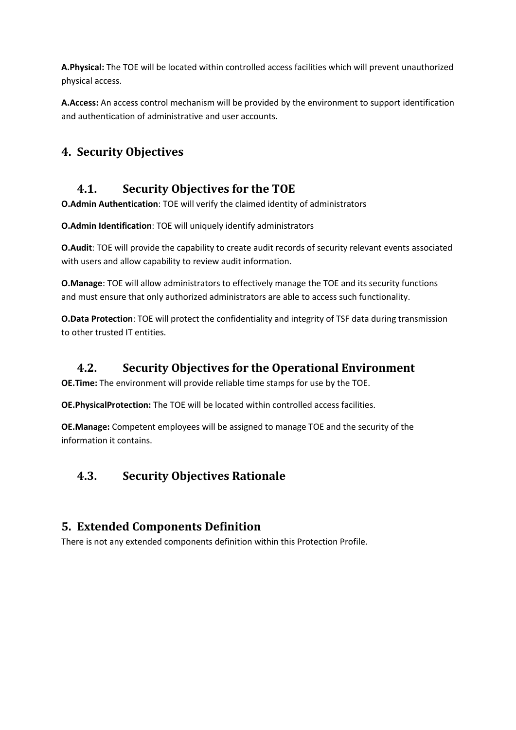**A.Physical:** The TOE will be located within controlled access facilities which will prevent unauthorized physical access.

**A.Access:** An access control mechanism will be provided by the environment to support identification and authentication of administrative and user accounts.

# **4. Security Objectives**

# **4.1. Security Objectives for the TOE**

**O.Admin Authentication**: TOE will verify the claimed identity of administrators

**O.Admin Identification**: TOE will uniquely identify administrators

**O.Audit**: TOE will provide the capability to create audit records of security relevant events associated with users and allow capability to review audit information.

**O.Manage**: TOE will allow administrators to effectively manage the TOE and its security functions and must ensure that only authorized administrators are able to access such functionality.

**O.Data Protection**: TOE will protect the confidentiality and integrity of TSF data during transmission to other trusted IT entities.

# **4.2. Security Objectives for the Operational Environment**

**OE.Time:** The environment will provide reliable time stamps for use by the TOE.

**OE.PhysicalProtection:** The TOE will be located within controlled access facilities.

**OE.Manage:** Competent employees will be assigned to manage TOE and the security of the information it contains.

# **4.3. Security Objectives Rationale**

# **5. Extended Components Definition**

There is not any extended components definition within this Protection Profile.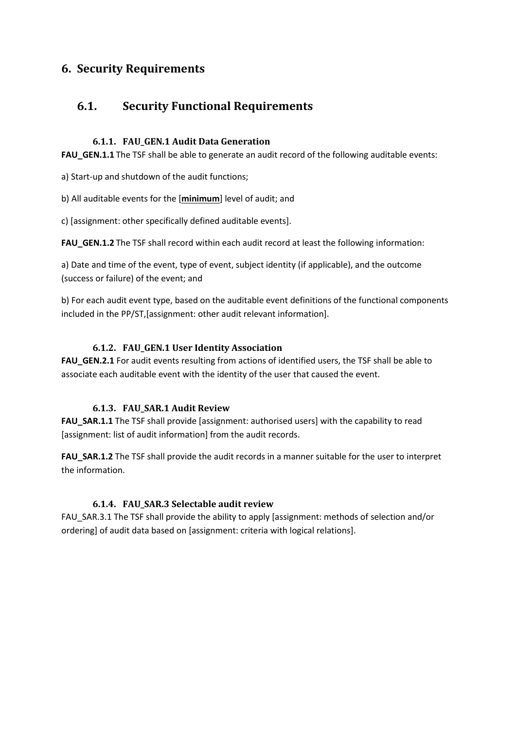### **6. Security Requirements**

### **6.1. Security Functional Requirements**

### **6.1.1. FAU\_GEN.1 Audit Data Generation**

**FAU\_GEN.1.1** The TSF shall be able to generate an audit record of the following auditable events:

a) Start-up and shutdown of the audit functions;

b) All auditable events for the [**minimum**] level of audit; and

c) [assignment: other specifically defined auditable events].

**FAU GEN.1.2** The TSF shall record within each audit record at least the following information:

a) Date and time of the event, type of event, subject identity (if applicable), and the outcome (success or failure) of the event; and

b) For each audit event type, based on the auditable event definitions of the functional components included in the PP/ST,[assignment: other audit relevant information].

### **6.1.2. FAU\_GEN.1 User Identity Association**

**FAU\_GEN.2.1** For audit events resulting from actions of identified users, the TSF shall be able to associate each auditable event with the identity of the user that caused the event.

### **6.1.3. FAU\_SAR.1 Audit Review**

**FAU\_SAR.1.1** The TSF shall provide [assignment: authorised users] with the capability to read [assignment: list of audit information] from the audit records.

**FAU\_SAR.1.2** The TSF shall provide the audit records in a manner suitable for the user to interpret the information.

### **6.1.4. FAU\_SAR.3 Selectable audit review**

FAU SAR.3.1 The TSF shall provide the ability to apply [assignment: methods of selection and/or ordering] of audit data based on [assignment: criteria with logical relations].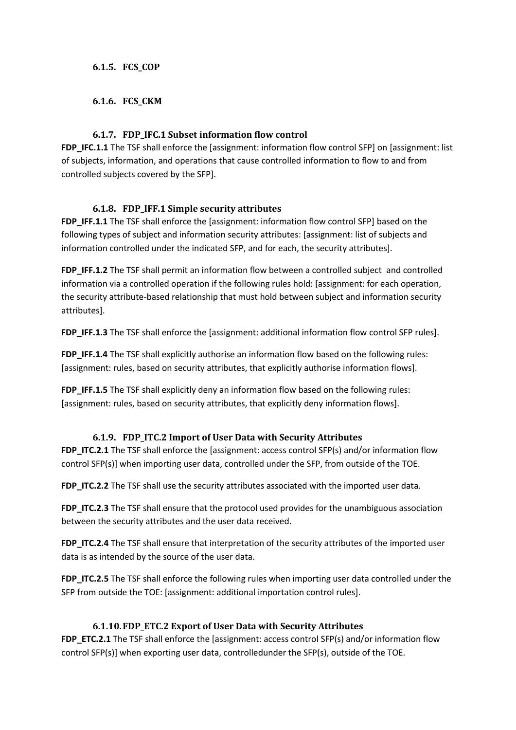#### **6.1.5. FCS\_COP**

#### **6.1.6. FCS\_CKM**

#### **6.1.7. FDP\_IFC.1 Subset information flow control**

**FDP\_IFC.1.1** The TSF shall enforce the [assignment: information flow control SFP] on [assignment: list] of subjects, information, and operations that cause controlled information to flow to and from controlled subjects covered by the SFP].

### **6.1.8. FDP\_IFF.1 Simple security attributes**

**FDP\_IFF.1.1** The TSF shall enforce the [assignment: information flow control SFP] based on the following types of subject and information security attributes: [assignment: list of subjects and information controlled under the indicated SFP, and for each, the security attributes].

**FDP\_IFF.1.2** The TSF shall permit an information flow between a controlled subject and controlled information via a controlled operation if the following rules hold: [assignment: for each operation, the security attribute-based relationship that must hold between subject and information security attributes].

**FDP\_IFF.1.3** The TSF shall enforce the [assignment: additional information flow control SFP rules].

**FDP\_IFF.1.4** The TSF shall explicitly authorise an information flow based on the following rules: [assignment: rules, based on security attributes, that explicitly authorise information flows].

**FDP\_IFF.1.5** The TSF shall explicitly deny an information flow based on the following rules: [assignment: rules, based on security attributes, that explicitly deny information flows].

### **6.1.9. FDP\_ITC.2 Import of User Data with Security Attributes**

**FDP\_ITC.2.1** The TSF shall enforce the [assignment: access control SFP(s) and/or information flow control SFP(s)] when importing user data, controlled under the SFP, from outside of the TOE.

**FDP\_ITC.2.2** The TSF shall use the security attributes associated with the imported user data.

**FDP\_ITC.2.3** The TSF shall ensure that the protocol used provides for the unambiguous association between the security attributes and the user data received.

**FDP\_ITC.2.4** The TSF shall ensure that interpretation of the security attributes of the imported user data is as intended by the source of the user data.

**FDP\_ITC.2.5** The TSF shall enforce the following rules when importing user data controlled under the SFP from outside the TOE: [assignment: additional importation control rules].

### **6.1.10.FDP\_ETC.2 Export of User Data with Security Attributes**

**FDP\_ETC.2.1** The TSF shall enforce the [assignment: access control SFP(s) and/or information flow control SFP(s)] when exporting user data, controlledunder the SFP(s), outside of the TOE.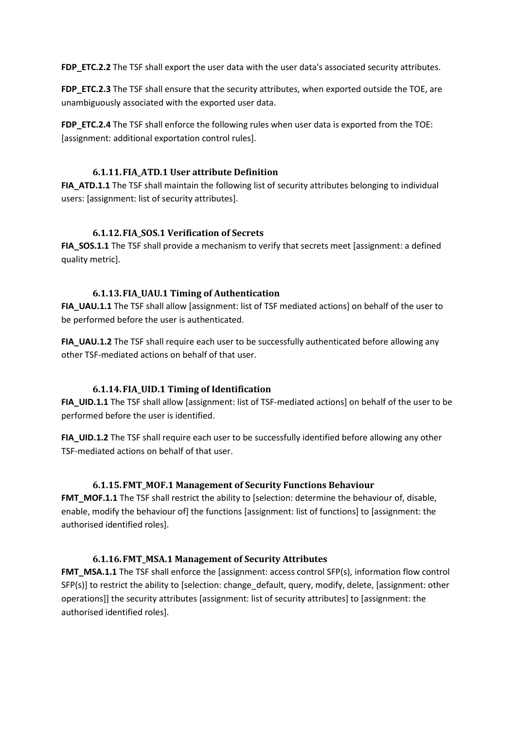**FDP\_ETC.2.2** The TSF shall export the user data with the user data's associated security attributes.

**FDP\_ETC.2.3** The TSF shall ensure that the security attributes, when exported outside the TOE, are unambiguously associated with the exported user data.

**FDP\_ETC.2.4** The TSF shall enforce the following rules when user data is exported from the TOE: [assignment: additional exportation control rules].

#### **6.1.11.FIA\_ATD.1 User attribute Definition**

**FIA\_ATD.1.1** The TSF shall maintain the following list of security attributes belonging to individual users: [assignment: list of security attributes].

#### **6.1.12.FIA\_SOS.1 Verification of Secrets**

**FIA\_SOS.1.1** The TSF shall provide a mechanism to verify that secrets meet [assignment: a defined quality metric].

#### **6.1.13.FIA\_UAU.1 Timing of Authentication**

**FIA\_UAU.1.1** The TSF shall allow [assignment: list of TSF mediated actions] on behalf of the user to be performed before the user is authenticated.

**FIA\_UAU.1.2** The TSF shall require each user to be successfully authenticated before allowing any other TSF-mediated actions on behalf of that user.

#### **6.1.14.FIA\_UID.1 Timing of Identification**

**FIA\_UID.1.1** The TSF shall allow [assignment: list of TSF-mediated actions] on behalf of the user to be performed before the user is identified.

**FIA\_UID.1.2** The TSF shall require each user to be successfully identified before allowing any other TSF-mediated actions on behalf of that user.

#### **6.1.15.FMT\_MOF.1 Management of Security Functions Behaviour**

**FMT\_MOF.1.1** The TSF shall restrict the ability to [selection: determine the behaviour of, disable, enable, modify the behaviour of] the functions [assignment: list of functions] to [assignment: the authorised identified roles].

#### **6.1.16.FMT\_MSA.1 Management of Security Attributes**

**FMT\_MSA.1.1** The TSF shall enforce the [assignment: access control SFP(s), information flow control SFP(s)] to restrict the ability to [selection: change\_default, query, modify, delete, [assignment: other operations]] the security attributes [assignment: list of security attributes] to [assignment: the authorised identified roles].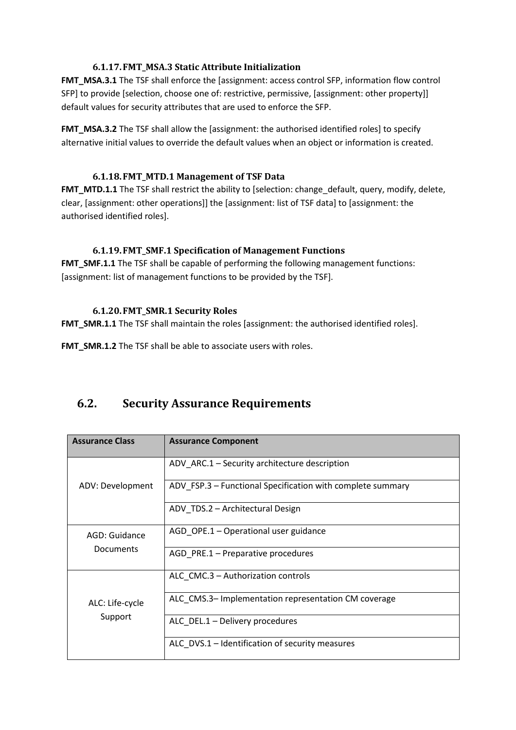#### **6.1.17.FMT\_MSA.3 Static Attribute Initialization**

**FMT\_MSA.3.1** The TSF shall enforce the [assignment: access control SFP, information flow control SFP] to provide [selection, choose one of: restrictive, permissive, [assignment: other property]] default values for security attributes that are used to enforce the SFP.

**FMT\_MSA.3.2** The TSF shall allow the [assignment: the authorised identified roles] to specify alternative initial values to override the default values when an object or information is created.

### **6.1.18.FMT\_MTD.1 Management of TSF Data**

**FMT\_MTD.1.1** The TSF shall restrict the ability to [selection: change default, query, modify, delete, clear, [assignment: other operations]] the [assignment: list of TSF data] to [assignment: the authorised identified roles].

### **6.1.19.FMT\_SMF.1 Specification of Management Functions**

**FMT\_SMF.1.1** The TSF shall be capable of performing the following management functions: [assignment: list of management functions to be provided by the TSF].

### **6.1.20.FMT\_SMR.1 Security Roles**

**FMT\_SMR.1.1** The TSF shall maintain the roles [assignment: the authorised identified roles].

**FMT\_SMR.1.2** The TSF shall be able to associate users with roles.

# **6.2. Security Assurance Requirements**

| <b>Assurance Class</b>            | <b>Assurance Component</b>                                 |
|-----------------------------------|------------------------------------------------------------|
|                                   | ADV ARC.1 - Security architecture description              |
| ADV: Development                  | ADV FSP.3 – Functional Specification with complete summary |
|                                   | ADV TDS.2 - Architectural Design                           |
| AGD: Guidance<br><b>Documents</b> | AGD OPE.1 - Operational user guidance                      |
|                                   | AGD PRE.1 - Preparative procedures                         |
|                                   | ALC CMC.3 - Authorization controls                         |
| ALC: Life-cycle                   | ALC CMS.3-Implementation representation CM coverage        |
| Support                           | ALC DEL.1 - Delivery procedures                            |
|                                   | ALC_DVS.1 – Identification of security measures            |